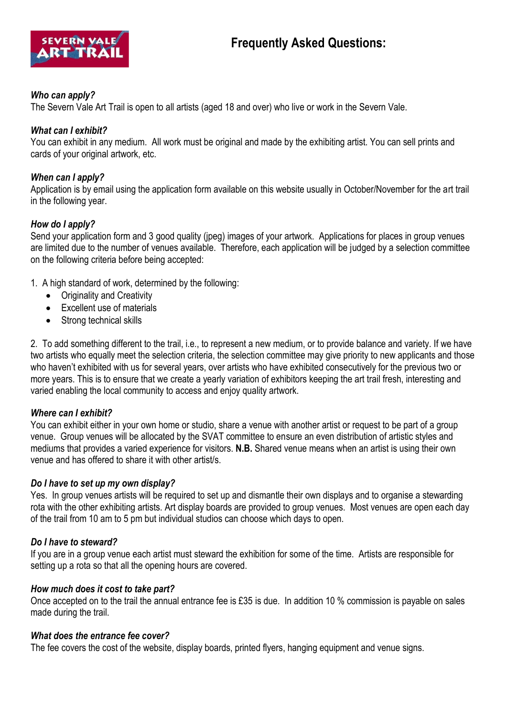

## *Who can apply?*

The Severn Vale Art Trail is open to all artists (aged 18 and over) who live or work in the Severn Vale.

# *What can I exhibit?*

You can exhibit in any medium. All work must be original and made by the exhibiting artist. You can sell prints and cards of your original artwork, etc.

## *When can I apply?*

Application is by email using the application form available on this website usually in October/November for the art trail in the following year.

## *How do I apply?*

Send your application form and 3 good quality (jpeg) images of your artwork. Applications for places in group venues are limited due to the number of venues available. Therefore, each application will be judged by a selection committee on the following criteria before being accepted:

- 1. A high standard of work, determined by the following:
	- Originality and Creativity
	- Excellent use of materials
	- Strong technical skills

2. To add something different to the trail, i.e., to represent a new medium, or to provide balance and variety. If we have two artists who equally meet the selection criteria, the selection committee may give priority to new applicants and those who haven't exhibited with us for several years, over artists who have exhibited consecutively for the previous two or more years. This is to ensure that we create a yearly variation of exhibitors keeping the art trail fresh, interesting and varied enabling the local community to access and enjoy quality artwork.

#### *Where can I exhibit?*

You can exhibit either in your own home or studio, share a venue with another artist or request to be part of a group venue. Group venues will be allocated by the SVAT committee to ensure an even distribution of artistic styles and mediums that provides a varied experience for visitors. **N.B.** Shared venue means when an artist is using their own venue and has offered to share it with other artist/s.

#### *Do I have to set up my own display?*

Yes. In group venues artists will be required to set up and dismantle their own displays and to organise a stewarding rota with the other exhibiting artists. Art display boards are provided to group venues. Most venues are open each day of the trail from 10 am to 5 pm but individual studios can choose which days to open.

#### *Do I have to steward?*

If you are in a group venue each artist must steward the exhibition for some of the time. Artists are responsible for setting up a rota so that all the opening hours are covered.

#### *How much does it cost to take part?*

Once accepted on to the trail the annual entrance fee is £35 is due. In addition 10 % commission is payable on sales made during the trail.

#### *What does the entrance fee cover?*

The fee covers the cost of the website, display boards, printed flyers, hanging equipment and venue signs.